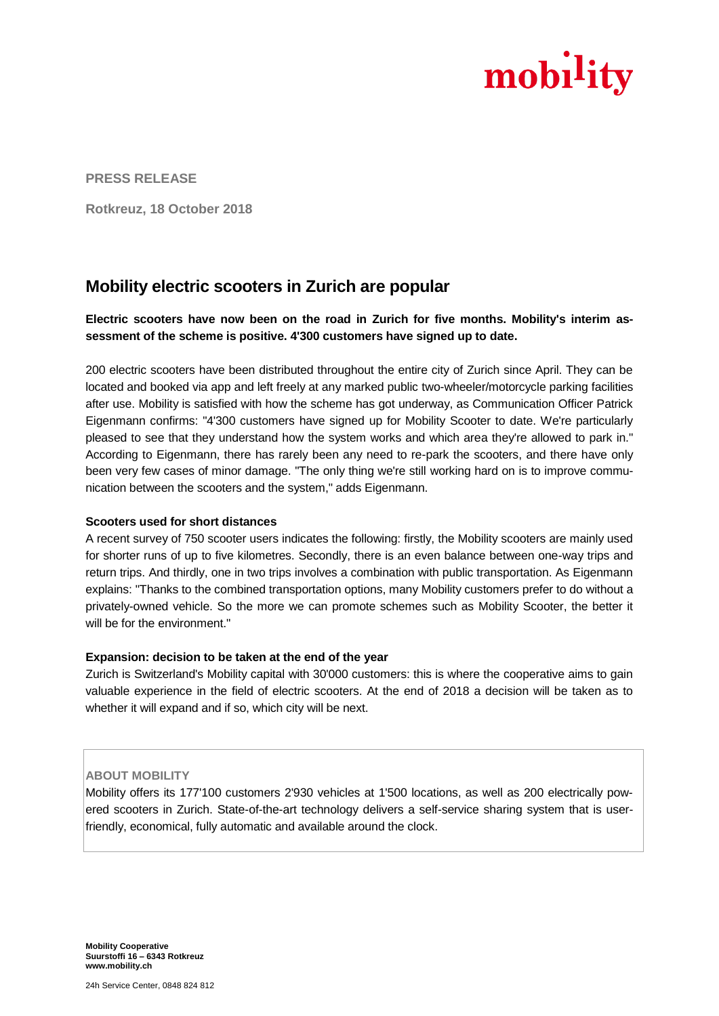

**PRESS RELEASE**

**Rotkreuz, 18 October 2018**

## **Mobility electric scooters in Zurich are popular**

**Electric scooters have now been on the road in Zurich for five months. Mobility's interim assessment of the scheme is positive. 4'300 customers have signed up to date.**

200 electric scooters have been distributed throughout the entire city of Zurich since April. They can be located and booked via app and left freely at any marked public two-wheeler/motorcycle parking facilities after use. Mobility is satisfied with how the scheme has got underway, as Communication Officer Patrick Eigenmann confirms: "4'300 customers have signed up for Mobility Scooter to date. We're particularly pleased to see that they understand how the system works and which area they're allowed to park in." According to Eigenmann, there has rarely been any need to re-park the scooters, and there have only been very few cases of minor damage. "The only thing we're still working hard on is to improve communication between the scooters and the system," adds Eigenmann.

## **Scooters used for short distances**

A recent survey of 750 scooter users indicates the following: firstly, the Mobility scooters are mainly used for shorter runs of up to five kilometres. Secondly, there is an even balance between one-way trips and return trips. And thirdly, one in two trips involves a combination with public transportation. As Eigenmann explains: "Thanks to the combined transportation options, many Mobility customers prefer to do without a privately-owned vehicle. So the more we can promote schemes such as Mobility Scooter, the better it will be for the environment."

## **Expansion: decision to be taken at the end of the year**

Zurich is Switzerland's Mobility capital with 30'000 customers: this is where the cooperative aims to gain valuable experience in the field of electric scooters. At the end of 2018 a decision will be taken as to whether it will expand and if so, which city will be next.

## **ABOUT MOBILITY**

Mobility offers its 177'100 customers 2'930 vehicles at 1'500 locations, as well as 200 electrically powered scooters in Zurich. State-of-the-art technology delivers a self-service sharing system that is userfriendly, economical, fully automatic and available around the clock.